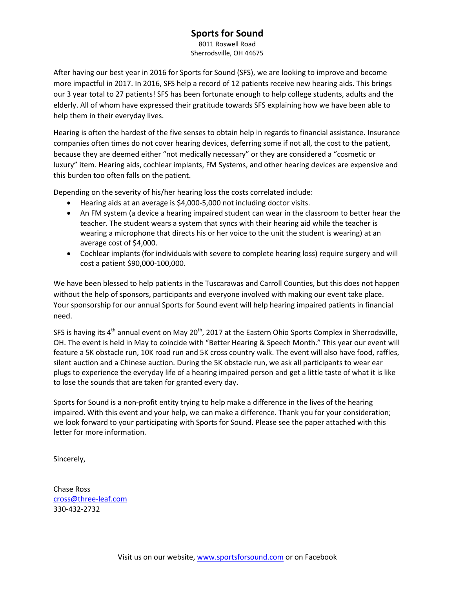## **Sports for Sound**

8011 Roswell Road Sherrodsville, OH 44675

After having our best year in 2016 for Sports for Sound (SFS), we are looking to improve and become more impactful in 2017. In 2016, SFS help a record of 12 patients receive new hearing aids. This brings our 3 year total to 27 patients! SFS has been fortunate enough to help college students, adults and the elderly. All of whom have expressed their gratitude towards SFS explaining how we have been able to help them in their everyday lives.

Hearing is often the hardest of the five senses to obtain help in regards to financial assistance. Insurance companies often times do not cover hearing devices, deferring some if not all, the cost to the patient, because they are deemed either "not medically necessary" or they are considered a "cosmetic or luxury" item. Hearing aids, cochlear implants, FM Systems, and other hearing devices are expensive and this burden too often falls on the patient.

Depending on the severity of his/her hearing loss the costs correlated include:

- Hearing aids at an average is \$4,000-5,000 not including doctor visits.
- An FM system (a device a hearing impaired student can wear in the classroom to better hear the teacher. The student wears a system that syncs with their hearing aid while the teacher is wearing a microphone that directs his or her voice to the unit the student is wearing) at an average cost of \$4,000.
- Cochlear implants (for individuals with severe to complete hearing loss) require surgery and will cost a patient \$90,000-100,000.

We have been blessed to help patients in the Tuscarawas and Carroll Counties, but this does not happen without the help of sponsors, participants and everyone involved with making our event take place. Your sponsorship for our annual Sports for Sound event will help hearing impaired patients in financial need.

SFS is having its  $4<sup>th</sup>$  annual event on May 20<sup>th</sup>, 2017 at the Eastern Ohio Sports Complex in Sherrodsville, OH. The event is held in May to coincide with "Better Hearing & Speech Month." This year our event will feature a 5K obstacle run, 10K road run and 5K cross country walk. The event will also have food, raffles, silent auction and a Chinese auction. During the 5K obstacle run, we ask all participants to wear ear plugs to experience the everyday life of a hearing impaired person and get a little taste of what it is like to lose the sounds that are taken for granted every day.

Sports for Sound is a non-profit entity trying to help make a difference in the lives of the hearing impaired. With this event and your help, we can make a difference. Thank you for your consideration; we look forward to your participating with Sports for Sound. Please see the paper attached with this letter for more information.

Sincerely,

Chase Ross cross@three-leaf.com 330-432-2732